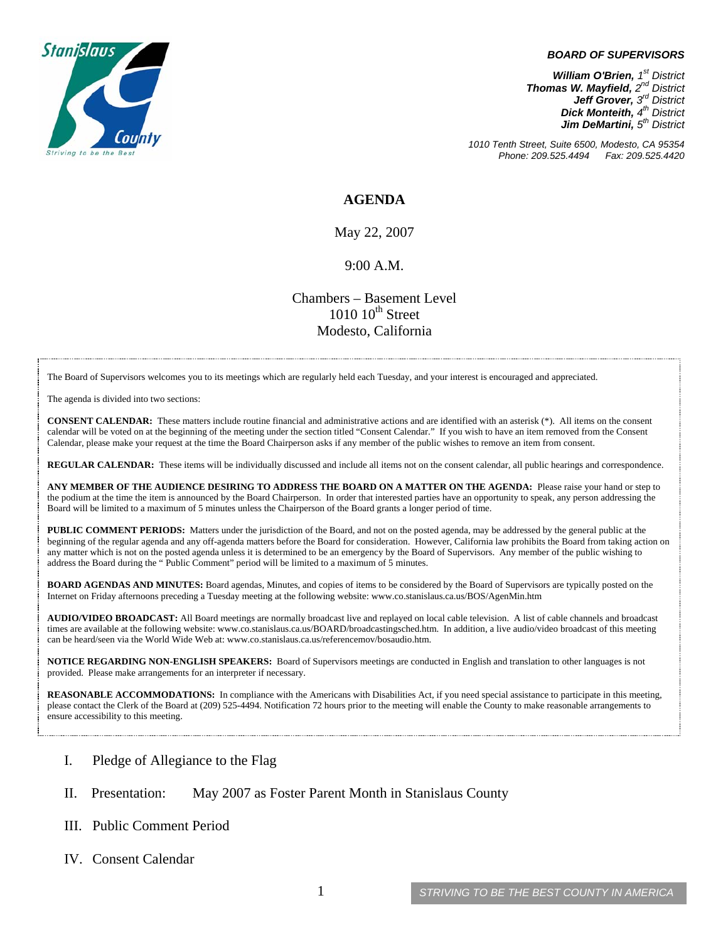

## *BOARD OF SUPERVISORS*

*William O'Brien, 1st District Thomas W. Mayfield, 2nd District Jeff Grover, 3rd District Dick Monteith, 4th District Jim DeMartini, 5th District*

*1010 Tenth Street, Suite 6500, Modesto, CA 95354 Phone: 209.525.4494 Fax: 209.525.4420* 

## **AGENDA**

May 22, 2007

## 9:00 A.M.

Chambers – Basement Level  $1010~10<sup>th</sup>$  Street Modesto, California

The Board of Supervisors welcomes you to its meetings which are regularly held each Tuesday, and your interest is encouraged and appreciated.

The agenda is divided into two sections:

**CONSENT CALENDAR:** These matters include routine financial and administrative actions and are identified with an asterisk (\*). All items on the consent calendar will be voted on at the beginning of the meeting under the section titled "Consent Calendar." If you wish to have an item removed from the Consent Calendar, please make your request at the time the Board Chairperson asks if any member of the public wishes to remove an item from consent.

**REGULAR CALENDAR:** These items will be individually discussed and include all items not on the consent calendar, all public hearings and correspondence.

**ANY MEMBER OF THE AUDIENCE DESIRING TO ADDRESS THE BOARD ON A MATTER ON THE AGENDA:** Please raise your hand or step to the podium at the time the item is announced by the Board Chairperson. In order that interested parties have an opportunity to speak, any person addressing the Board will be limited to a maximum of 5 minutes unless the Chairperson of the Board grants a longer period of time.

**PUBLIC COMMENT PERIODS:** Matters under the jurisdiction of the Board, and not on the posted agenda, may be addressed by the general public at the beginning of the regular agenda and any off-agenda matters before the Board for consideration. However, California law prohibits the Board from taking action on any matter which is not on the posted agenda unless it is determined to be an emergency by the Board of Supervisors. Any member of the public wishing to address the Board during the " Public Comment" period will be limited to a maximum of 5 minutes.

**BOARD AGENDAS AND MINUTES:** Board agendas, Minutes, and copies of items to be considered by the Board of Supervisors are typically posted on the Internet on Friday afternoons preceding a Tuesday meeting at the following website: [www.co.stanislaus.ca.us/BOS/AgenMin.htm](http://www.co.stanislaus.ca.us/BOS/AgenMin.htm) 

**AUDIO/VIDEO BROADCAST:** All Board meetings are normally broadcast live and replayed on local cable television. A list of cable channels and broadcast times are available at the following website: [www.co.stanislaus.ca.us/BOARD/broadcastingsched.htm](http://www.co.stanislaus.ca.us/BOARD/broadcastingsched.htm). In addition, a live audio/video broadcast of this meeting can be heard/seen via the World Wide Web at: [www.co.stanislaus.ca.us/referencemov/bosaudio.htm.](http://www.co.stanislaus.ca.us/referencemov/bosaudio.htm)

**NOTICE REGARDING NON-ENGLISH SPEAKERS:** Board of Supervisors meetings are conducted in English and translation to other languages is not provided. Please make arrangements for an interpreter if necessary.

**REASONABLE ACCOMMODATIONS:** In compliance with the Americans with Disabilities Act, if you need special assistance to participate in this meeting, please contact the Clerk of the Board at (209) 525-4494. Notification 72 hours prior to the meeting will enable the County to make reasonable arrangements to ensure accessibility to this meeting.

- I. Pledge of Allegiance to the Flag
- II. Presentation: May 2007 as Foster Parent Month in Stanislaus County
- III. Public Comment Period
- IV. Consent Calendar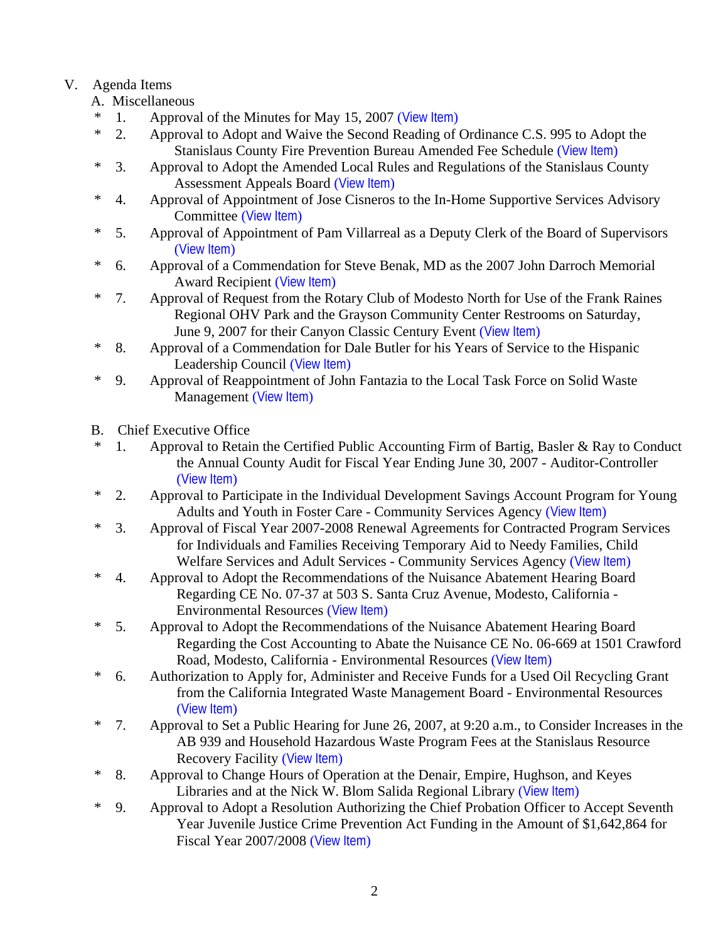## V. Agenda Items

- A. Miscellaneous
- \* 1. Approval of the Minutes for May 15, 2007 ([View Item](http://www.co.stanislaus.ca.us/bos/minutes/2007/min05-15-07.pdf))
- \* 2. Approval to Adopt and Waive the Second Reading of Ordinance C.S. 995 to Adopt the Stanislaus County Fire Prevention Bureau Amended Fee Schedule ([View Item](http://www.co.stanislaus.ca.us/bos/agenda/2007/20070522/A02.pdf))
- \* 3. Approval to Adopt the Amended Local Rules and Regulations of the Stanislaus County Assessment Appeals Board ([View Item](http://www.co.stanislaus.ca.us/bos/agenda/2007/20070522/A03.pdf))
- \* 4. Approval of Appointment of Jose Cisneros to the In-Home Supportive Services Advisory Committee ([View Item](http://www.co.stanislaus.ca.us/bos/agenda/2007/20070522/A04.pdf))
- \* 5. Approval of Appointment of Pam Villarreal as a Deputy Clerk of the Board of Supervisors ([View Item](http://www.co.stanislaus.ca.us/bos/agenda/2007/20070522/A05.pdf))
- \* 6. Approval of a Commendation for Steve Benak, MD as the 2007 John Darroch Memorial Award Recipient ([View Item](http://www.co.stanislaus.ca.us/bos/agenda/2007/20070522/A06.pdf))
- \* 7. Approval of Request from the Rotary Club of Modesto North for Use of the Frank Raines Regional OHV Park and the Grayson Community Center Restrooms on Saturday, June 9, 2007 for their Canyon Classic Century Event ([View Item](http://www.co.stanislaus.ca.us/bos/agenda/2007/20070522/A07.pdf))
- \* 8. Approval of a Commendation for Dale Butler for his Years of Service to the Hispanic Leadership Council ([View Item](http://www.co.stanislaus.ca.us/bos/agenda/2007/20070522/A08.pdf))
- \* 9. Approval of Reappointment of John Fantazia to the Local Task Force on Solid Waste Management ([View Item](http://www.co.stanislaus.ca.us/bos/agenda/2007/20070522/A09.pdf))
- B. Chief Executive Office
- \* 1. Approval to Retain the Certified Public Accounting Firm of Bartig, Basler & Ray to Conduct the Annual County Audit for Fiscal Year Ending June 30, 2007 - Auditor-Controller ([View Item](http://www.co.stanislaus.ca.us/bos/agenda/2007/20070522/B01.pdf))
- \* 2. Approval to Participate in the Individual Development Savings Account Program for Young Adults and Youth in Foster Care - Community Services Agency ([View Item](http://www.co.stanislaus.ca.us/bos/agenda/2007/20070522/B02.pdf))
- \* 3. Approval of Fiscal Year 2007-2008 Renewal Agreements for Contracted Program Services for Individuals and Families Receiving Temporary Aid to Needy Families, Child Welfare Services and Adult Services - Community Services Agency ([View Item](http://www.co.stanislaus.ca.us/bos/agenda/2007/20070522/B03.pdf))
- \* 4. Approval to Adopt the Recommendations of the Nuisance Abatement Hearing Board Regarding CE No. 07-37 at 503 S. Santa Cruz Avenue, Modesto, California - Environmental Resources ([View Item](http://www.co.stanislaus.ca.us/bos/agenda/2007/20070522/B04.pdf))
- \* 5. Approval to Adopt the Recommendations of the Nuisance Abatement Hearing Board Regarding the Cost Accounting to Abate the Nuisance CE No. 06-669 at 1501 Crawford Road, Modesto, California - Environmental Resources ([View Item](http://www.co.stanislaus.ca.us/bos/agenda/2007/20070522/B05.pdf))
- \* 6. Authorization to Apply for, Administer and Receive Funds for a Used Oil Recycling Grant from the California Integrated Waste Management Board - Environmental Resources ([View Item](http://www.co.stanislaus.ca.us/bos/agenda/2007/20070522/B06.pdf))
- \* 7. Approval to Set a Public Hearing for June 26, 2007, at 9:20 a.m., to Consider Increases in the AB 939 and Household Hazardous Waste Program Fees at the Stanislaus Resource Recovery Facility ([View Item](http://www.co.stanislaus.ca.us/bos/agenda/2007/20070522/B07.pdf))
- \* 8. Approval to Change Hours of Operation at the Denair, Empire, Hughson, and Keyes Libraries and at the Nick W. Blom Salida Regional Library ([View Item](http://www.co.stanislaus.ca.us/bos/agenda/2007/20070522/B08.pdf))
- \* 9. Approval to Adopt a Resolution Authorizing the Chief Probation Officer to Accept Seventh Year Juvenile Justice Crime Prevention Act Funding in the Amount of \$1,642,864 for Fiscal Year 2007/2008 ([View Item](http://www.co.stanislaus.ca.us/bos/agenda/2007/20070522/B09.pdf))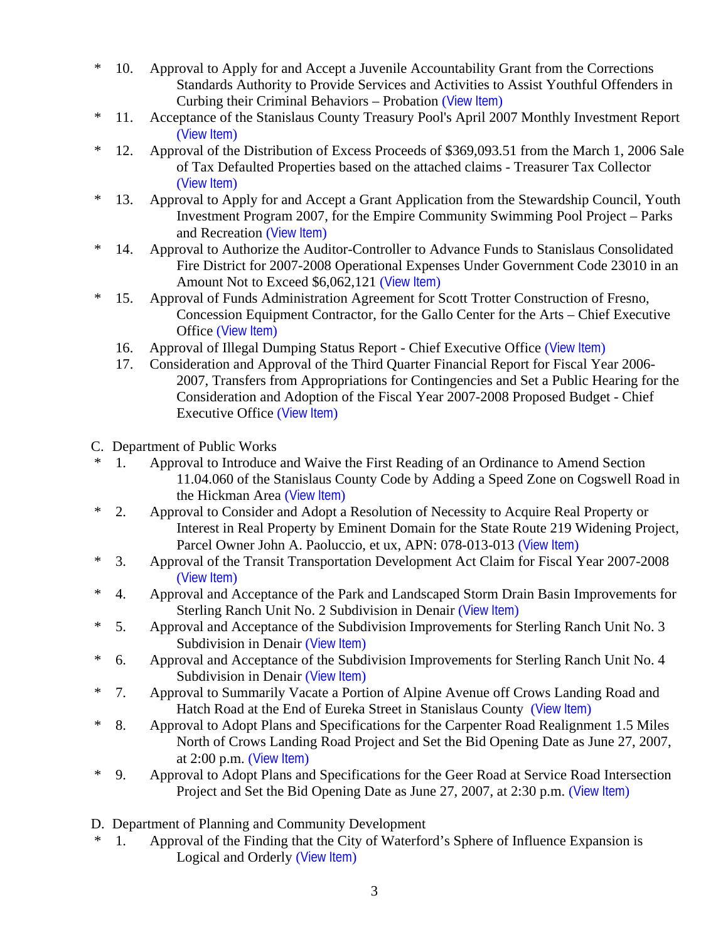- \* 10. Approval to Apply for and Accept a Juvenile Accountability Grant from the Corrections Standards Authority to Provide Services and Activities to Assist Youthful Offenders in Curbing their Criminal Behaviors – Probation ([View Item](http://www.co.stanislaus.ca.us/bos/agenda/2007/20070522/B10.pdf))
- \* 11. Acceptance of the Stanislaus County Treasury Pool's April 2007 Monthly Investment Report ([View Item](http://www.co.stanislaus.ca.us/bos/agenda/2007/20070522/B11.pdf))
- \* 12. Approval of the Distribution of Excess Proceeds of \$369,093.51 from the March 1, 2006 Sale of Tax Defaulted Properties based on the attached claims - Treasurer Tax Collector ([View Item](http://www.co.stanislaus.ca.us/bos/agenda/2007/20070522/B12.pdf))
- \* 13. Approval to Apply for and Accept a Grant Application from the Stewardship Council, Youth Investment Program 2007, for the Empire Community Swimming Pool Project – Parks and Recreation ([View Item](http://www.co.stanislaus.ca.us/bos/agenda/2007/20070522/B13.pdf))
- \* 14. Approval to Authorize the Auditor-Controller to Advance Funds to Stanislaus Consolidated Fire District for 2007-2008 Operational Expenses Under Government Code 23010 in an Amount Not to Exceed \$6,062,121 ([View Item](http://www.co.stanislaus.ca.us/bos/agenda/2007/20070522/B14.pdf))
- \* 15. Approval of Funds Administration Agreement for Scott Trotter Construction of Fresno, Concession Equipment Contractor, for the Gallo Center for the Arts – Chief Executive Office ([View Item](http://www.co.stanislaus.ca.us/bos/agenda/2007/20070522/B15.pdf))
	- 16. Approval of Illegal Dumping Status Report Chief Executive Office ([View Item](http://www.co.stanislaus.ca.us/bos/agenda/2007/20070522/B16.pdf))
	- 17. Consideration and Approval of the Third Quarter Financial Report for Fiscal Year 2006- 2007, Transfers from Appropriations for Contingencies and Set a Public Hearing for the Consideration and Adoption of the Fiscal Year 2007-2008 Proposed Budget - Chief Executive Office ([View Item](http://www.co.stanislaus.ca.us/bos/agenda/2007/20070522/B17.pdf))
- C. Department of Public Works
- \* 1. Approval to Introduce and Waive the First Reading of an Ordinance to Amend Section 11.04.060 of the Stanislaus County Code by Adding a Speed Zone on Cogswell Road in the Hickman Area ([View Item](http://www.co.stanislaus.ca.us/bos/agenda/2007/20070522/C01.pdf))
- \* 2. Approval to Consider and Adopt a Resolution of Necessity to Acquire Real Property or Interest in Real Property by Eminent Domain for the State Route 219 Widening Project, Parcel Owner John A. Paoluccio, et ux, APN: 078-013-013 ([View Item](http://www.co.stanislaus.ca.us/bos/agenda/2007/20070522/C02.pdf))
- \* 3. Approval of the Transit Transportation Development Act Claim for Fiscal Year 2007-2008 ([View Item](http://www.co.stanislaus.ca.us/bos/agenda/2007/20070522/C03.pdf))
- \* 4. Approval and Acceptance of the Park and Landscaped Storm Drain Basin Improvements for Sterling Ranch Unit No. 2 Subdivision in Denair ([View Item](http://www.co.stanislaus.ca.us/bos/agenda/2007/20070522/C04.pdf))
- \* 5. Approval and Acceptance of the Subdivision Improvements for Sterling Ranch Unit No. 3 Subdivision in Denair ([View Item](http://www.co.stanislaus.ca.us/bos/agenda/2007/20070522/C05.pdf))
- \* 6. Approval and Acceptance of the Subdivision Improvements for Sterling Ranch Unit No. 4 Subdivision in Denair ([View Item](http://www.co.stanislaus.ca.us/bos/agenda/2007/20070522/C06.pdf))
- \* 7. Approval to Summarily Vacate a Portion of Alpine Avenue off Crows Landing Road and Hatch Road at the End of Eureka Street in Stanislaus County ([View Item](http://www.co.stanislaus.ca.us/bos/agenda/2007/20070522/C07.pdf))
- \* 8. Approval to Adopt Plans and Specifications for the Carpenter Road Realignment 1.5 Miles North of Crows Landing Road Project and Set the Bid Opening Date as June 27, 2007, at 2:00 p.m. ([View Item](http://www.co.stanislaus.ca.us/bos/agenda/2007/20070522/C08.pdf))
- \* 9. Approval to Adopt Plans and Specifications for the Geer Road at Service Road Intersection Project and Set the Bid Opening Date as June 27, 2007, at 2:30 p.m. ([View Item](http://www.co.stanislaus.ca.us/bos/agenda/2007/20070522/C09.pdf))
- D. Department of Planning and Community Development
- \* 1. Approval of the Finding that the City of Waterford's Sphere of Influence Expansion is Logical and Orderly ([View Item](http://www.co.stanislaus.ca.us/bos/agenda/2007/20070522/D01.pdf))